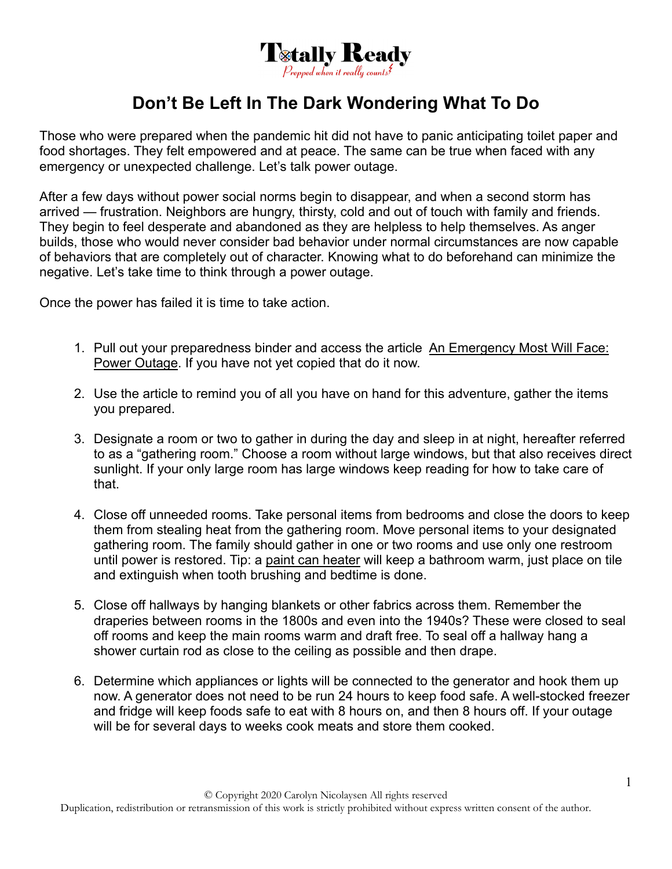

## **Don't Be Left In The Dark Wondering What To Do**

Those who were prepared when the pandemic hit did not have to panic anticipating toilet paper and food shortages. They felt empowered and at peace. The same can be true when faced with any emergency or unexpected challenge. Let's talk power outage.

After a few days without power social norms begin to disappear, and when a second storm has arrived — frustration. Neighbors are hungry, thirsty, cold and out of touch with family and friends. They begin to feel desperate and abandoned as they are helpless to help themselves. As anger builds, those who would never consider bad behavior under normal circumstances are now capable of behaviors that are completely out of character. Knowing what to do beforehand can minimize the negative. Let's take time to think through a power outage.

Once the power has failed it is time to take action.

- 1. Pull out your preparedness binder and access the article An Emergency Most Will Face: Power Outage. If you have not yet copied that do it now.
- 2. Use the article to remind you of all you have on hand for this adventure, gather the items you prepared.
- 3. Designate a room or two to gather in during the day and sleep in at night, hereafter referred to as a "gathering room." Choose a room without large windows, but that also receives direct sunlight. If your only large room has large windows keep reading for how to take care of that.
- 4. Close off unneeded rooms. Take personal items from bedrooms and close the doors to keep them from stealing heat from the gathering room. Move personal items to your designated gathering room. The family should gather in one or two rooms and use only one restroom until power is restored. Tip: a paint can heater will keep a bathroom warm, just place on tile and extinguish when tooth brushing and bedtime is done.
- 5. Close off hallways by hanging blankets or other fabrics across them. Remember the draperies between rooms in the 1800s and even into the 1940s? These were closed to seal off rooms and keep the main rooms warm and draft free. To seal off a hallway hang a shower curtain rod as close to the ceiling as possible and then drape.
- 6. Determine which appliances or lights will be connected to the generator and hook them up now. A generator does not need to be run 24 hours to keep food safe. A well-stocked freezer and fridge will keep foods safe to eat with 8 hours on, and then 8 hours off. If your outage will be for several days to weeks cook meats and store them cooked.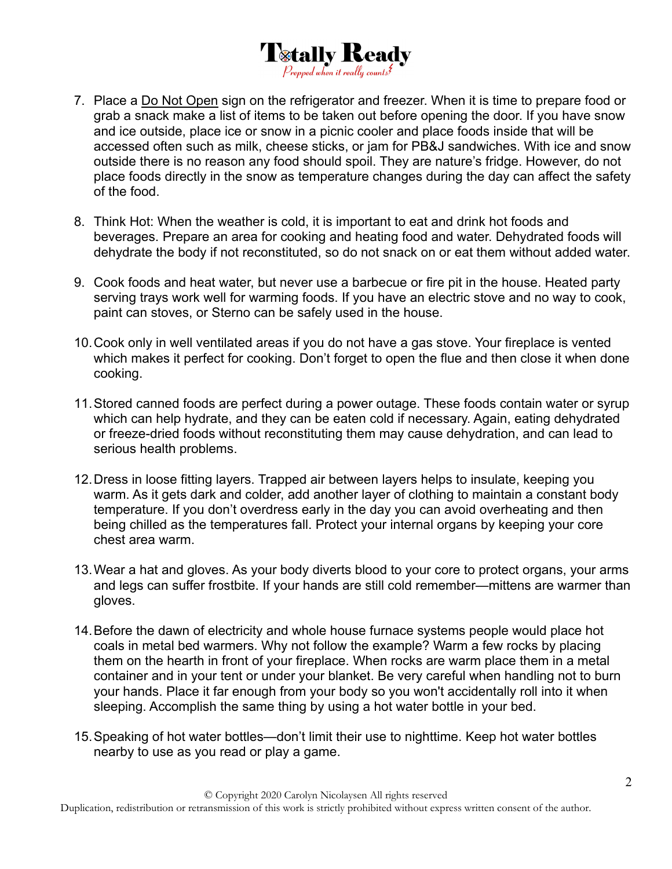

- 7. Place a Do Not Open sign on the refrigerator and freezer. When it is time to prepare food or grab a snack make a list of items to be taken out before opening the door. If you have snow and ice outside, place ice or snow in a picnic cooler and place foods inside that will be accessed often such as milk, cheese sticks, or jam for PB&J sandwiches. With ice and snow outside there is no reason any food should spoil. They are nature's fridge. However, do not place foods directly in the snow as temperature changes during the day can affect the safety of the food.
- 8. Think Hot: When the weather is cold, it is important to eat and drink hot foods and beverages. Prepare an area for cooking and heating food and water. Dehydrated foods will dehydrate the body if not reconstituted, so do not snack on or eat them without added water.
- 9. Cook foods and heat water, but never use a barbecue or fire pit in the house. Heated party serving trays work well for warming foods. If you have an electric stove and no way to cook, paint can stoves, or Sterno can be safely used in the house.
- 10. Cook only in well ventilated areas if you do not have a gas stove. Your fireplace is vented which makes it perfect for cooking. Don't forget to open the flue and then close it when done cooking.
- 11. Stored canned foods are perfect during a power outage. These foods contain water or syrup which can help hydrate, and they can be eaten cold if necessary. Again, eating dehydrated or freeze-dried foods without reconstituting them may cause dehydration, and can lead to serious health problems.
- 12. Dress in loose fitting layers. Trapped air between layers helps to insulate, keeping you warm. As it gets dark and colder, add another layer of clothing to maintain a constant body temperature. If you don't overdress early in the day you can avoid overheating and then being chilled as the temperatures fall. Protect your internal organs by keeping your core chest area warm.
- 13. Wear a hat and gloves. As your body diverts blood to your core to protect organs, your arms and legs can suffer frostbite. If your hands are still cold remember—mittens are warmer than gloves.
- 14. Before the dawn of electricity and whole house furnace systems people would place hot coals in metal bed warmers. Why not follow the example? Warm a few rocks by placing them on the hearth in front of your fireplace. When rocks are warm place them in a metal container and in your tent or under your blanket. Be very careful when handling not to burn your hands. Place it far enough from your body so you won't accidentally roll into it when sleeping. Accomplish the same thing by using a hot water bottle in your bed.
- 15. Speaking of hot water bottles—don't limit their use to nighttime. Keep hot water bottles nearby to use as you read or play a game.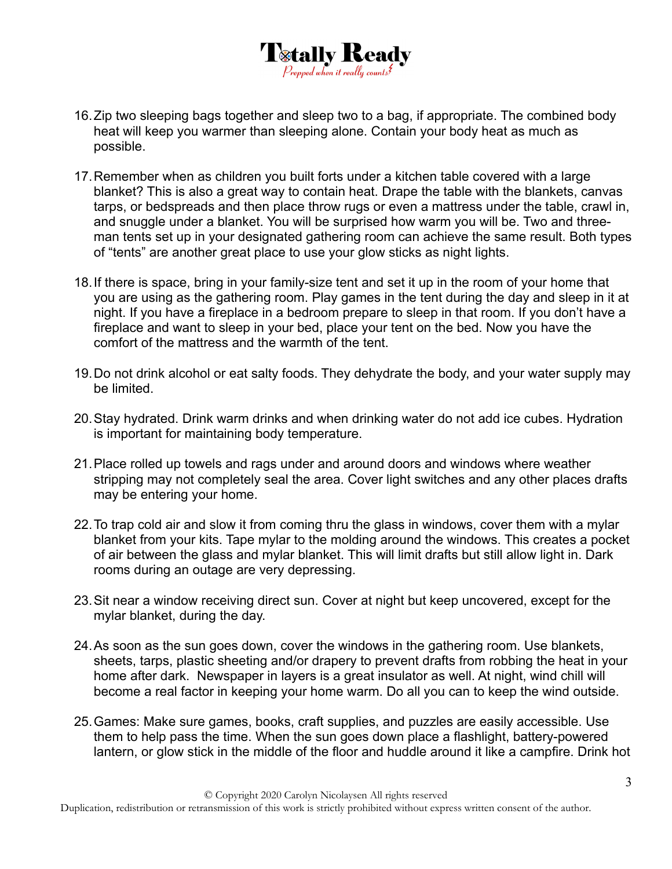

- 16. Zip two sleeping bags together and sleep two to a bag, if appropriate. The combined body heat will keep you warmer than sleeping alone. Contain your body heat as much as possible.
- 17. Remember when as children you built forts under a kitchen table covered with a large blanket? This is also a great way to contain heat. Drape the table with the blankets, canvas tarps, or bedspreads and then place throw rugs or even a mattress under the table, crawl in, and snuggle under a blanket. You will be surprised how warm you will be. Two and threeman tents set up in your designated gathering room can achieve the same result. Both types of "tents" are another great place to use your glow sticks as night lights.
- 18. If there is space, bring in your family-size tent and set it up in the room of your home that you are using as the gathering room. Play games in the tent during the day and sleep in it at night. If you have a fireplace in a bedroom prepare to sleep in that room. If you don't have a fireplace and want to sleep in your bed, place your tent on the bed. Now you have the comfort of the mattress and the warmth of the tent.
- 19. Do not drink alcohol or eat salty foods. They dehydrate the body, and your water supply may be limited.
- 20. Stay hydrated. Drink warm drinks and when drinking water do not add ice cubes. Hydration is important for maintaining body temperature.
- 21. Place rolled up towels and rags under and around doors and windows where weather stripping may not completely seal the area. Cover light switches and any other places drafts may be entering your home.
- 22. To trap cold air and slow it from coming thru the glass in windows, cover them with a mylar blanket from your kits. Tape mylar to the molding around the windows. This creates a pocket of air between the glass and mylar blanket. This will limit drafts but still allow light in. Dark rooms during an outage are very depressing.
- 23. Sit near a window receiving direct sun. Cover at night but keep uncovered, except for the mylar blanket, during the day.
- 24. As soon as the sun goes down, cover the windows in the gathering room. Use blankets, sheets, tarps, plastic sheeting and/or drapery to prevent drafts from robbing the heat in your home after dark. Newspaper in layers is a great insulator as well. At night, wind chill will become a real factor in keeping your home warm. Do all you can to keep the wind outside.
- 25. Games: Make sure games, books, craft supplies, and puzzles are easily accessible. Use them to help pass the time. When the sun goes down place a flashlight, battery-powered lantern, or glow stick in the middle of the floor and huddle around it like a campfire. Drink hot

Duplication, redistribution or retransmission of this work is strictly prohibited without express written consent of the author.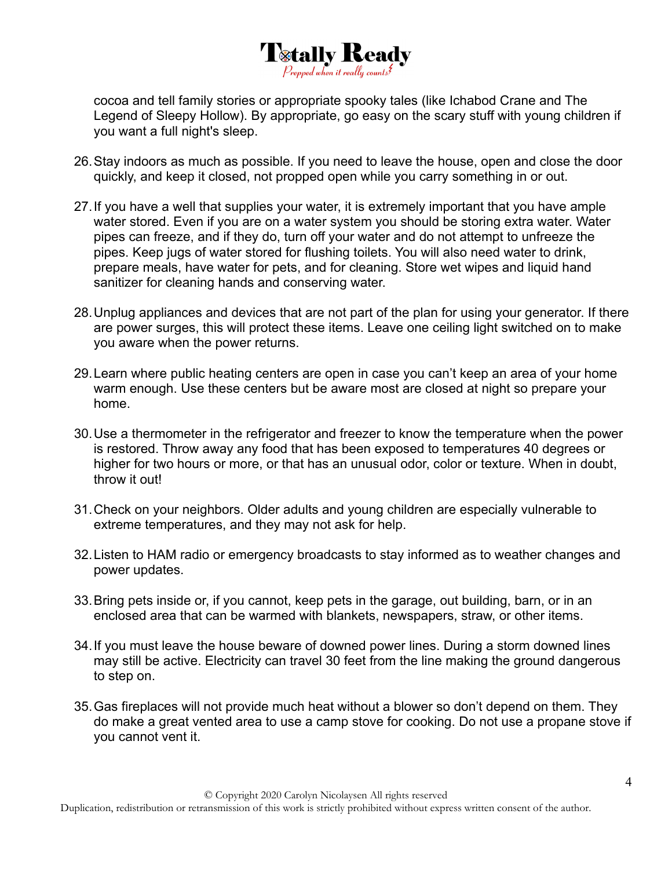

cocoa and tell family stories or appropriate spooky tales (like Ichabod Crane and The Legend of Sleepy Hollow). By appropriate, go easy on the scary stuff with young children if you want a full night's sleep.

- 26. Stay indoors as much as possible. If you need to leave the house, open and close the door quickly, and keep it closed, not propped open while you carry something in or out.
- 27. If you have a well that supplies your water, it is extremely important that you have ample water stored. Even if you are on a water system you should be storing extra water. Water pipes can freeze, and if they do, turn off your water and do not attempt to unfreeze the pipes. Keep jugs of water stored for flushing toilets. You will also need water to drink, prepare meals, have water for pets, and for cleaning. Store wet wipes and liquid hand sanitizer for cleaning hands and conserving water.
- 28. Unplug appliances and devices that are not part of the plan for using your generator. If there are power surges, this will protect these items. Leave one ceiling light switched on to make you aware when the power returns.
- 29. Learn where public heating centers are open in case you can't keep an area of your home warm enough. Use these centers but be aware most are closed at night so prepare your home.
- 30. Use a thermometer in the refrigerator and freezer to know the temperature when the power is restored. Throw away any food that has been exposed to temperatures 40 degrees or higher for two hours or more, or that has an unusual odor, color or texture. When in doubt, throw it out!
- 31. Check on your neighbors. Older adults and young children are especially vulnerable to extreme temperatures, and they may not ask for help.
- 32. Listen to HAM radio or emergency broadcasts to stay informed as to weather changes and power updates.
- 33. Bring pets inside or, if you cannot, keep pets in the garage, out building, barn, or in an enclosed area that can be warmed with blankets, newspapers, straw, or other items.
- 34. If you must leave the house beware of downed power lines. During a storm downed lines may still be active. Electricity can travel 30 feet from the line making the ground dangerous to step on.
- 35. Gas fireplaces will not provide much heat without a blower so don't depend on them. They do make a great vented area to use a camp stove for cooking. Do not use a propane stove if you cannot vent it.